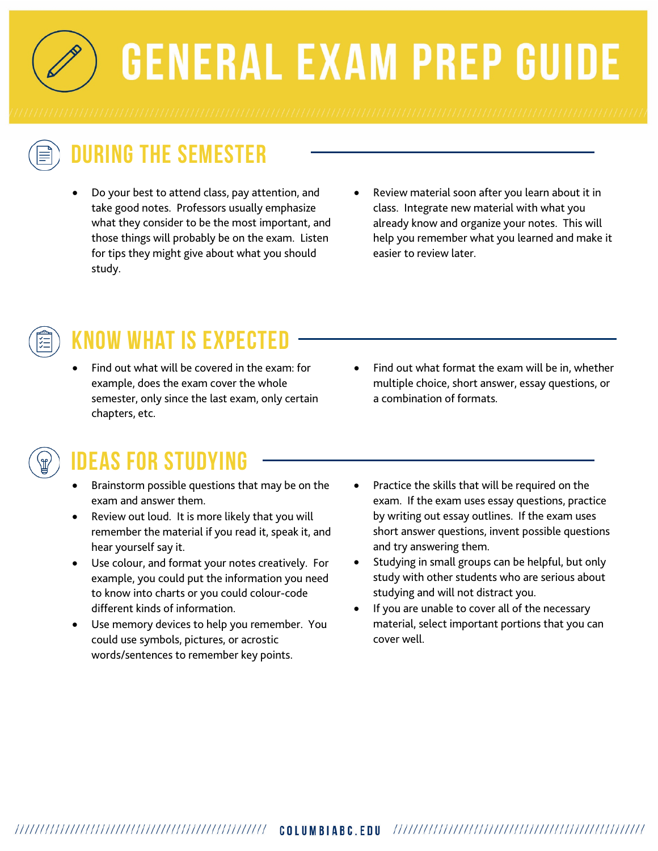**GENERAL EXAM PREP GUIDE** 

# **During the Semester**

- Do your best to attend class, pay attention, and take good notes. Professors usually emphasize what they consider to be the most important, and those things will probably be on the exam. Listen for tips they might give about what you should study.
- Review material soon after you learn about it in class. Integrate new material with what you already know and organize your notes. This will help you remember what you learned and make it easier to review later.



# **Know what is expected**

- Find out what will be covered in the exam: for example, does the exam cover the whole semester, only since the last exam, only certain chapters, etc.
- Find out what format the exam will be in, whether multiple choice, short answer, essay questions, or a combination of formats.

#### **Ideas for Studying**

- Brainstorm possible questions that may be on the exam and answer them.
- Review out loud. It is more likely that you will remember the material if you read it, speak it, and hear yourself say it.
- Use colour, and format your notes creatively. For example, you could put the information you need to know into charts or you could colour-code different kinds of information.
- Use memory devices to help you remember. You could use symbols, pictures, or acrostic words/sentences to remember key points.
- Practice the skills that will be required on the exam. If the exam uses essay questions, practice by writing out essay outlines. If the exam uses short answer questions, invent possible questions and try answering them.
- Studying in small groups can be helpful, but only study with other students who are serious about studying and will not distract you.
- If you are unable to cover all of the necessary material, select important portions that you can cover well.